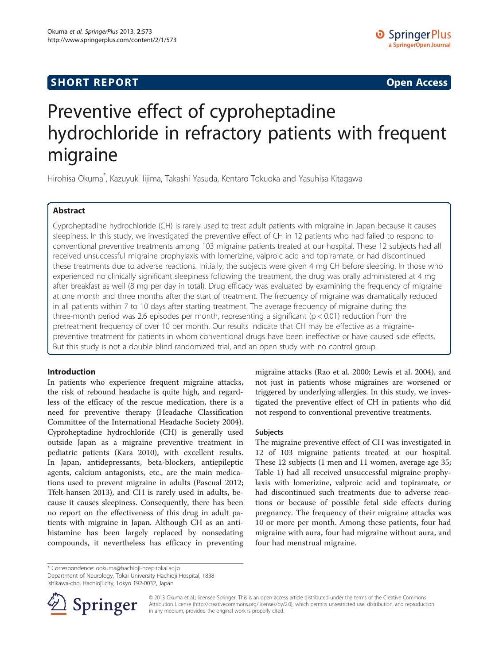## **SHORT REPORT SHORT CONSTRUCTED AT A SEXUAL CONSTRUCT OF A SEXUAL CONSTRUCTION OPEN Access**

# Preventive effect of cyproheptadine hydrochloride in refractory patients with frequent migraine

Hirohisa Okuma\* , Kazuyuki Iijima, Takashi Yasuda, Kentaro Tokuoka and Yasuhisa Kitagawa

## Abstract

Cyproheptadine hydrochloride (CH) is rarely used to treat adult patients with migraine in Japan because it causes sleepiness. In this study, we investigated the preventive effect of CH in 12 patients who had failed to respond to conventional preventive treatments among 103 migraine patients treated at our hospital. These 12 subjects had all received unsuccessful migraine prophylaxis with lomerizine, valproic acid and topiramate, or had discontinued these treatments due to adverse reactions. Initially, the subjects were given 4 mg CH before sleeping. In those who experienced no clinically significant sleepiness following the treatment, the drug was orally administered at 4 mg after breakfast as well (8 mg per day in total). Drug efficacy was evaluated by examining the frequency of migraine at one month and three months after the start of treatment. The frequency of migraine was dramatically reduced in all patients within 7 to 10 days after starting treatment. The average frequency of migraine during the three-month period was 2.6 episodes per month, representing a significant ( $p < 0.01$ ) reduction from the pretreatment frequency of over 10 per month. Our results indicate that CH may be effective as a migrainepreventive treatment for patients in whom conventional drugs have been ineffective or have caused side effects. But this study is not a double blind randomized trial, and an open study with no control group.

### Introduction

In patients who experience frequent migraine attacks, the risk of rebound headache is quite high, and regardless of the efficacy of the rescue medication, there is a need for preventive therapy (Headache Classification Committee of the International Headache Society [2004](#page-3-0)). Cyproheptadine hydrochloride (CH) is generally used outside Japan as a migraine preventive treatment in pediatric patients (Kara [2010](#page-3-0)), with excellent results. In Japan, antidepressants, beta-blockers, antiepileptic agents, calcium antagonists, etc., are the main medications used to prevent migraine in adults (Pascual [2012](#page-3-0); Tfelt-hansen [2013\)](#page-3-0), and CH is rarely used in adults, because it causes sleepiness. Consequently, there has been no report on the effectiveness of this drug in adult patients with migraine in Japan. Although CH as an antihistamine has been largely replaced by nonsedating compounds, it nevertheless has efficacy in preventing

migraine attacks (Rao et al. [2000](#page-3-0); Lewis et al. [2004\)](#page-3-0), and not just in patients whose migraines are worsened or triggered by underlying allergies. In this study, we investigated the preventive effect of CH in patients who did not respond to conventional preventive treatments.

#### Subjects

The migraine preventive effect of CH was investigated in 12 of 103 migraine patients treated at our hospital. These 12 subjects (1 men and 11 women, average age 35; Table [1](#page-1-0)) had all received unsuccessful migraine prophylaxis with lomerizine, valproic acid and topiramate, or had discontinued such treatments due to adverse reactions or because of possible fetal side effects during pregnancy. The frequency of their migraine attacks was 10 or more per month. Among these patients, four had migraine with aura, four had migraine without aura, and four had menstrual migraine.

\* Correspondence: [ookuma@hachioji-hosp.tokai.ac.jp](mailto:ookuma@hachioji-hosp.tokai.ac.jp)

Department of Neurology, Tokai University Hachioji Hospital, 1838

Ishikawa-cho, Hachioji city, Tokyo 192-0032, Japan



© 2013 Okuma et al.; licensee Springer. This is an open access article distributed under the terms of the Creative Commons Attribution License [\(http://creativecommons.org/licenses/by/2.0\)](http://creativecommons.org/licenses/by/2.0), which permits unrestricted use, distribution, and reproduction in any medium, provided the original work is properly cited.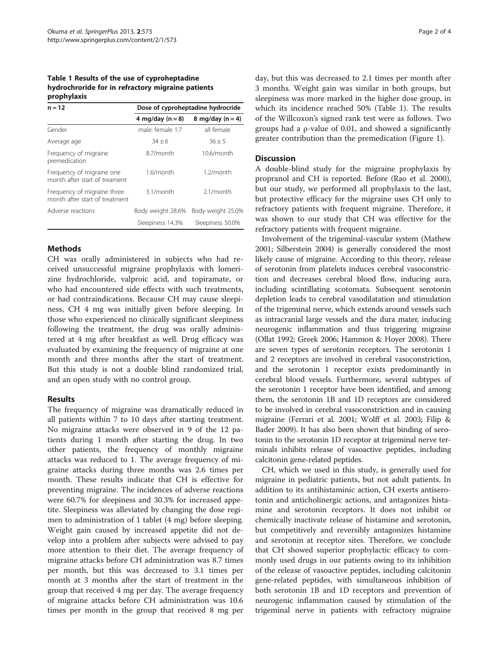#### <span id="page-1-0"></span>Table 1 Results of the use of cyproheptadine hydrochroride for in refractory migraine patients prophylaxis

| $n = 12$                                                      | Dose of cyproheptadine hydrocride |                   |
|---------------------------------------------------------------|-----------------------------------|-------------------|
|                                                               | 4 mg/day $(n = 8)$                | 8 mg/day $(n=4)$  |
| Gender                                                        | male: female 1:7                  | all female        |
| Average age                                                   | $34 + 6$                          | $36 + 5$          |
| Frequency of migraine<br>premedication                        | 8.7/month                         | $10.6/m$ onth     |
| Frequency of migraine one<br>month after start of treament    | 1.6/month                         | $1.2/m$ onth      |
| Frequency of migraine three<br>month after start of treatment | 3.1/month                         | 2.1/month         |
| Adverse reactions                                             | Body weight 28.6%                 | Body weight 25.0% |
|                                                               | Sleepiness 14.3%                  | Sleepiness 50.0%  |

## **Methods**

CH was orally administered in subjects who had received unsuccessful migraine prophylaxis with lomerizine hydrochloride, valproic acid, and topiramate, or who had encountered side effects with such treatments, or had contraindications. Because CH may cause sleepiness, CH 4 mg was initially given before sleeping. In those who experienced no clinically significant sleepiness following the treatment, the drug was orally administered at 4 mg after breakfast as well. Drug efficacy was evaluated by examining the frequency of migraine at one month and three months after the start of treatment. But this study is not a double blind randomized trial, and an open study with no control group.

## Results

The frequency of migraine was dramatically reduced in all patients within 7 to 10 days after starting treatment. No migraine attacks were observed in 9 of the 12 patients during 1 month after starting the drug. In two other patients, the frequency of monthly migraine attacks was reduced to 1. The average frequency of migraine attacks during three months was 2.6 times per month. These results indicate that CH is effective for preventing migraine. The incidences of adverse reactions were 60.7% for sleepiness and 30.3% for increased appetite. Sleepiness was alleviated by changing the dose regimen to administration of 1 tablet (4 mg) before sleeping. Weight gain caused by increased appetite did not develop into a problem after subjects were advised to pay more attention to their diet. The average frequency of migraine attacks before CH administration was 8.7 times per month, but this was decreased to 3.1 times per month at 3 months after the start of treatment in the group that received 4 mg per day. The average frequency of migraine attacks before CH administration was 10.6 times per month in the group that received 8 mg per

day, but this was decreased to 2.1 times per month after 3 months. Weight gain was similar in both groups, but sleepiness was more marked in the higher dose group, in which its incidence reached 50% (Table 1). The results of the Willcoxon's signed rank test were as follows. Two groups had a ρ-value of 0.01, and showed a significantly greater contribution than the premedication (Figure [1\)](#page-2-0).

## **Discussion**

A double-blind study for the migraine prophylaxis by propranol and CH is reported. Before (Rao et al. [2000](#page-3-0)), but our study, we performed all prophylaxis to the last, but protective efficacy for the migraine uses CH only to refractory patients with frequent migraine. Therefore, it was shown to our study that CH was effective for the refractory patients with frequent migraine.

Involvement of the trigeminal-vascular system (Mathew [2001](#page-3-0); Silberstein [2004\)](#page-3-0) is generally considered the most likely cause of migraine. According to this theory, release of serotonin from platelets induces cerebral vasoconstriction and decreases cerebral blood flow, inducing aura, including scintillating scotomata. Subsequent serotonin depletion leads to cerebral vasodilatation and stimulation of the trigeminal nerve, which extends around vessels such as intracranial large vessels and the dura mater, inducing neurogenic inflammation and thus triggering migraine (Ollat [1992](#page-3-0); Greek [2006](#page-3-0); Hammon & Hoyer [2008](#page-3-0)). There are seven types of serotonin receptors. The serotonin 1 and 2 receptors are involved in cerebral vasoconstriction, and the serotonin 1 receptor exists predominantly in cerebral blood vessels. Furthermore, several subtypes of the serotonin 1 receptor have been identified, and among them, the serotonin 1B and 1D receptors are considered to be involved in cerebral vasoconstriction and in causing migraine (Ferrari et al. [2001;](#page-2-0) Wolff et al. [2003;](#page-3-0) Filip & Bader [2009](#page-3-0)). It has also been shown that binding of serotonin to the serotonin 1D receptor at trigeminal nerve terminals inhibits release of vasoactive peptides, including calcitonin gene-related peptides.

CH, which we used in this study, is generally used for migraine in pediatric patients, but not adult patients. In addition to its antihistaminic action, CH exerts antiserotonin and anticholinergic actions, and antagonizes histamine and serotonin receptors. It does not inhibit or chemically inactivate release of histamine and serotonin, but competitively and reversibly antagonizes histamine and serotonin at receptor sites. Therefore, we conclude that CH showed superior prophylactic efficacy to commonly used drugs in our patients owing to its inhibition of the release of vasoactive peptides, including calcitonin gene-related peptides, with simultaneous inhibition of both serotonin 1B and 1D receptors and prevention of neurogenic inflammation caused by stimulation of the trigeminal nerve in patients with refractory migraine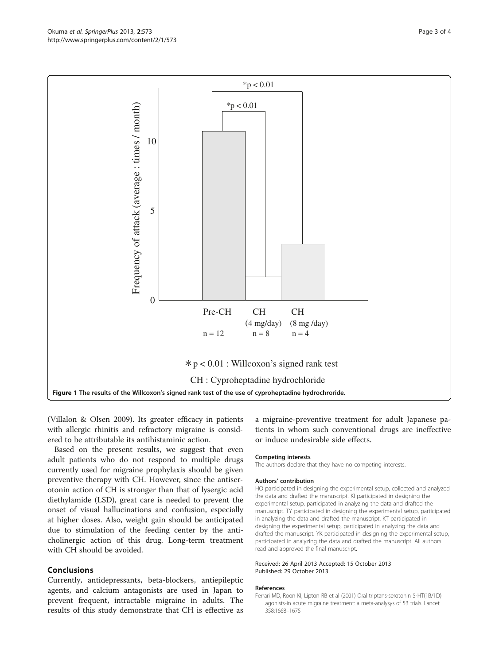<span id="page-2-0"></span>

(Villalon & Olsen [2009](#page-3-0)). Its greater efficacy in patients with allergic rhinitis and refractory migraine is considered to be attributable its antihistaminic action.

Based on the present results, we suggest that even adult patients who do not respond to multiple drugs currently used for migraine prophylaxis should be given preventive therapy with CH. However, since the antiserotonin action of CH is stronger than that of lysergic acid diethylamide (LSD), great care is needed to prevent the onset of visual hallucinations and confusion, especially at higher doses. Also, weight gain should be anticipated due to stimulation of the feeding center by the anticholinergic action of this drug. Long-term treatment with CH should be avoided.

#### Conclusions

Currently, antidepressants, beta-blockers, antiepileptic agents, and calcium antagonists are used in Japan to prevent frequent, intractable migraine in adults. The results of this study demonstrate that CH is effective as a migraine-preventive treatment for adult Japanese patients in whom such conventional drugs are ineffective or induce undesirable side effects.

#### Competing interests

The authors declare that they have no competing interests.

#### Authors' contribution

HO participated in designing the experimental setup, collected and analyzed the data and drafted the manuscript. KI participated in designing the experimental setup, participated in analyzing the data and drafted the manuscript. TY participated in designing the experimental setup, participated in analyzing the data and drafted the manuscript. KT participated in designing the experimental setup, participated in analyzing the data and drafted the manuscript. YK participated in designing the experimental setup, participated in analyzing the data and drafted the manuscript. All authors read and approved the final manuscript.

#### Received: 26 April 2013 Accepted: 15 October 2013 Published: 29 October 2013

#### References

Ferrari MD, Roon KI, Lipton RB et al (2001) Oral triptans-serotonin 5-HT(1B/1D) agonists-in acute migraine treatment: a meta-analysys of 53 trials. Lancet 358:1668–1675